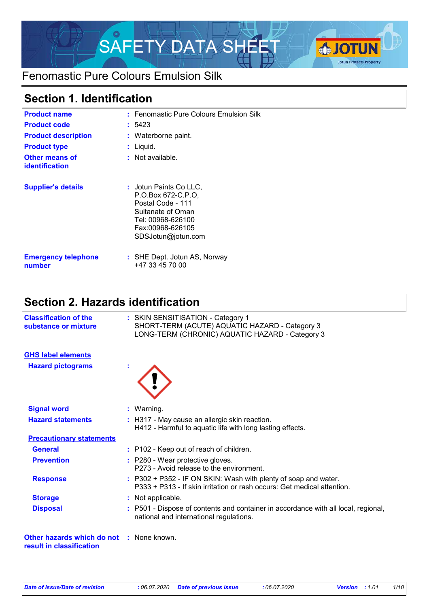

### Fenomastic Pure Colours Emulsion Silk

### **Section 1. Identification**

| <b>Product name</b><br><b>Product code</b><br><b>Product description</b><br><b>Product type</b><br><b>Other means of</b><br><b>identification</b> | : Fenomastic Pure Colours Emulsion Silk<br>: 5423<br>: Waterborne paint.<br>: Liquid.<br>$:$ Not available.                                           |
|---------------------------------------------------------------------------------------------------------------------------------------------------|-------------------------------------------------------------------------------------------------------------------------------------------------------|
| <b>Supplier's details</b>                                                                                                                         | : Jotun Paints Co LLC.<br>P.O.Box 672-C.P.O.<br>Postal Code - 111<br>Sultanate of Oman<br>Tel: 00968-626100<br>Fax:00968-626105<br>SDSJotun@jotun.com |
| <b>Emergency telephone</b><br>number                                                                                                              | : SHE Dept. Jotun AS, Norway<br>+47 33 45 70 00                                                                                                       |

### **Section 2. Hazards identification**

| <b>Classification of the</b><br>substance or mixture                        | : SKIN SENSITISATION - Category 1<br>SHORT-TERM (ACUTE) AQUATIC HAZARD - Category 3<br>LONG-TERM (CHRONIC) AQUATIC HAZARD - Category 3       |
|-----------------------------------------------------------------------------|----------------------------------------------------------------------------------------------------------------------------------------------|
| <b>GHS label elements</b>                                                   |                                                                                                                                              |
| <b>Hazard pictograms</b>                                                    |                                                                                                                                              |
| <b>Signal word</b>                                                          | : Warning.                                                                                                                                   |
| <b>Hazard statements</b>                                                    | : H317 - May cause an allergic skin reaction.<br>H412 - Harmful to aquatic life with long lasting effects.                                   |
| <b>Precautionary statements</b>                                             |                                                                                                                                              |
| <b>General</b>                                                              | : P102 - Keep out of reach of children.                                                                                                      |
| <b>Prevention</b>                                                           | : P280 - Wear protective gloves.<br>P273 - Avoid release to the environment.                                                                 |
| <b>Response</b>                                                             | $: P302 + P352 - IF ON SKIN: Wash with plenty of soap and water.$<br>P333 + P313 - If skin irritation or rash occurs: Get medical attention. |
| <b>Storage</b>                                                              | : Not applicable.                                                                                                                            |
| <b>Disposal</b>                                                             | : P501 - Dispose of contents and container in accordance with all local, regional,<br>national and international regulations.                |
| <b>Other hazards which do not : None known.</b><br>result in classification |                                                                                                                                              |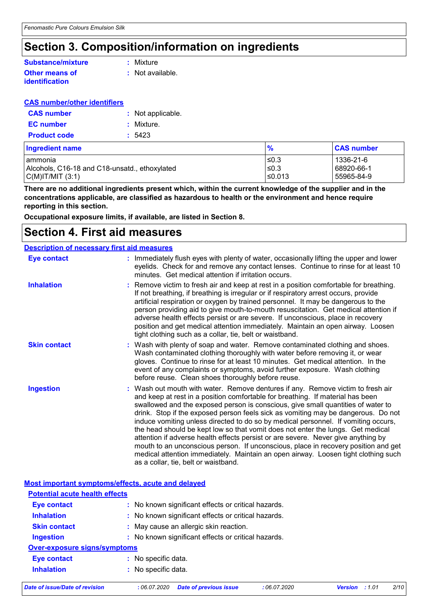### **Section 3. Composition/information on ingredients**

#### **Other means of Substance/mixture**

**:** Mixture

- **identification**
- **:** Not available.

#### **CAS number/other identifiers**

| <b>CAS number</b>   | : Not applicable. |
|---------------------|-------------------|
| <b>EC</b> number    | : Mixture.        |
| <b>Product code</b> | : 5423            |

| <b>Ingredient name</b>                        | $\frac{9}{6}$ | <b>CAS number</b> |
|-----------------------------------------------|---------------|-------------------|
| l ammonia                                     | l≤0.3         | 1336-21-6         |
| Alcohols, C16-18 and C18-unsatd., ethoxylated | ≤0.3          | 68920-66-1        |
| C(M) T/MIT (3:1)                              | l≤0.013       | 55965-84-9        |

**There are no additional ingredients present which, within the current knowledge of the supplier and in the concentrations applicable, are classified as hazardous to health or the environment and hence require reporting in this section.**

**Occupational exposure limits, if available, are listed in Section 8.**

### **Section 4. First aid measures**

#### Wash out mouth with water. Remove dentures if any. Remove victim to fresh air and keep at rest in a position comfortable for breathing. If material has been swallowed and the exposed person is conscious, give small quantities of water to drink. Stop if the exposed person feels sick as vomiting may be dangerous. Do not induce vomiting unless directed to do so by medical personnel. If vomiting occurs, the head should be kept low so that vomit does not enter the lungs. Get medical attention if adverse health effects persist or are severe. Never give anything by mouth to an unconscious person. If unconscious, place in recovery position and get medical attention immediately. Maintain an open airway. Loosen tight clothing such as a collar, tie, belt or waistband. : Immediately flush eyes with plenty of water, occasionally lifting the upper and lower eyelids. Check for and remove any contact lenses. Continue to rinse for at least 10 minutes. Get medical attention if irritation occurs. Wash with plenty of soap and water. Remove contaminated clothing and shoes. **:** Wash contaminated clothing thoroughly with water before removing it, or wear gloves. Continue to rinse for at least 10 minutes. Get medical attention. In the event of any complaints or symptoms, avoid further exposure. Wash clothing before reuse. Clean shoes thoroughly before reuse. Remove victim to fresh air and keep at rest in a position comfortable for breathing. **:** If not breathing, if breathing is irregular or if respiratory arrest occurs, provide artificial respiration or oxygen by trained personnel. It may be dangerous to the person providing aid to give mouth-to-mouth resuscitation. Get medical attention if adverse health effects persist or are severe. If unconscious, place in recovery position and get medical attention immediately. Maintain an open airway. Loosen tight clothing such as a collar, tie, belt or waistband. **Eye contact Skin contact Inhalation Ingestion : Description of necessary first aid measures**

|                                       | Most important symptoms/effects, acute and delayed  |
|---------------------------------------|-----------------------------------------------------|
| <b>Potential acute health effects</b> |                                                     |
| <b>Eye contact</b>                    | : No known significant effects or critical hazards. |
| <b>Inhalation</b>                     | : No known significant effects or critical hazards. |
| <b>Skin contact</b>                   | : May cause an allergic skin reaction.              |
| <b>Ingestion</b>                      | : No known significant effects or critical hazards. |
| <b>Over-exposure signs/symptoms</b>   |                                                     |
| <b>Eye contact</b>                    | : No specific data.                                 |
| <b>Inhalation</b>                     | : No specific data.                                 |
|                                       |                                                     |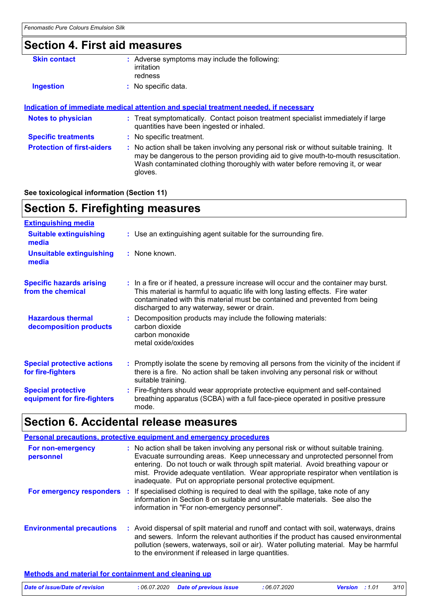# **Section 4. First aid measures**

| : Adverse symptoms may include the following:<br>irritation<br>redness                                                                                                                                                                                                   |
|--------------------------------------------------------------------------------------------------------------------------------------------------------------------------------------------------------------------------------------------------------------------------|
| : No specific data.                                                                                                                                                                                                                                                      |
|                                                                                                                                                                                                                                                                          |
| <u>Indication of immediate medical attention and special treatment needed, if necessary</u>                                                                                                                                                                              |
| : Treat symptomatically. Contact poison treatment specialist immediately if large<br>quantities have been ingested or inhaled.                                                                                                                                           |
| : No specific treatment.                                                                                                                                                                                                                                                 |
| : No action shall be taken involving any personal risk or without suitable training. It<br>may be dangerous to the person providing aid to give mouth-to-mouth resuscitation.<br>Wash contaminated clothing thoroughly with water before removing it, or wear<br>gloves. |
|                                                                                                                                                                                                                                                                          |

#### **See toxicological information (Section 11)**

# **Section 5. Firefighting measures**

| <b>Extinguishing media</b>                               |                                                                                                                                                                                                                                                                                                      |
|----------------------------------------------------------|------------------------------------------------------------------------------------------------------------------------------------------------------------------------------------------------------------------------------------------------------------------------------------------------------|
| <b>Suitable extinguishing</b><br>media                   | : Use an extinguishing agent suitable for the surrounding fire.                                                                                                                                                                                                                                      |
| <b>Unsuitable extinguishing</b><br>media                 | : None known.                                                                                                                                                                                                                                                                                        |
| <b>Specific hazards arising</b><br>from the chemical     | : In a fire or if heated, a pressure increase will occur and the container may burst.<br>This material is harmful to aquatic life with long lasting effects. Fire water<br>contaminated with this material must be contained and prevented from being<br>discharged to any waterway, sewer or drain. |
| <b>Hazardous thermal</b><br>decomposition products       | : Decomposition products may include the following materials:<br>carbon dioxide<br>carbon monoxide<br>metal oxide/oxides                                                                                                                                                                             |
| <b>Special protective actions</b><br>for fire-fighters   | : Promptly isolate the scene by removing all persons from the vicinity of the incident if<br>there is a fire. No action shall be taken involving any personal risk or without<br>suitable training.                                                                                                  |
| <b>Special protective</b><br>equipment for fire-fighters | : Fire-fighters should wear appropriate protective equipment and self-contained<br>breathing apparatus (SCBA) with a full face-piece operated in positive pressure<br>mode.                                                                                                                          |

# **Section 6. Accidental release measures**

|                                  | <b>Personal precautions, protective equipment and emergency procedures</b>                                                                                                                                                                                                                                                                                                                                      |
|----------------------------------|-----------------------------------------------------------------------------------------------------------------------------------------------------------------------------------------------------------------------------------------------------------------------------------------------------------------------------------------------------------------------------------------------------------------|
| For non-emergency<br>personnel   | : No action shall be taken involving any personal risk or without suitable training.<br>Evacuate surrounding areas. Keep unnecessary and unprotected personnel from<br>entering. Do not touch or walk through spilt material. Avoid breathing vapour or<br>mist. Provide adequate ventilation. Wear appropriate respirator when ventilation is<br>inadequate. Put on appropriate personal protective equipment. |
|                                  | For emergency responders : If specialised clothing is required to deal with the spillage, take note of any<br>information in Section 8 on suitable and unsuitable materials. See also the<br>information in "For non-emergency personnel".                                                                                                                                                                      |
| <b>Environmental precautions</b> | : Avoid dispersal of spilt material and runoff and contact with soil, waterways, drains<br>and sewers. Inform the relevant authorities if the product has caused environmental<br>pollution (sewers, waterways, soil or air). Water polluting material. May be harmful<br>to the environment if released in large quantities.                                                                                   |

#### **Methods and material for containment and cleaning up**

| Date of issue/Date of revision | : 06.07.2020 Date of previous issue | : 06.07.2020 | <b>Version</b> : 1.01 | 3/10 |
|--------------------------------|-------------------------------------|--------------|-----------------------|------|
|                                |                                     |              |                       |      |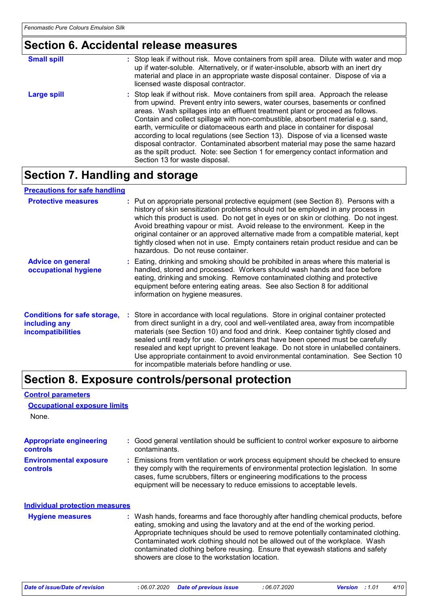### **Section 6. Accidental release measures**

| <b>Small spill</b> | : Stop leak if without risk. Move containers from spill area. Dilute with water and mop<br>up if water-soluble. Alternatively, or if water-insoluble, absorb with an inert dry<br>material and place in an appropriate waste disposal container. Dispose of via a<br>licensed waste disposal contractor.                                                                                                                                                                                                                                                                                                                                                                                                          |
|--------------------|-------------------------------------------------------------------------------------------------------------------------------------------------------------------------------------------------------------------------------------------------------------------------------------------------------------------------------------------------------------------------------------------------------------------------------------------------------------------------------------------------------------------------------------------------------------------------------------------------------------------------------------------------------------------------------------------------------------------|
| Large spill        | : Stop leak if without risk. Move containers from spill area. Approach the release<br>from upwind. Prevent entry into sewers, water courses, basements or confined<br>areas. Wash spillages into an effluent treatment plant or proceed as follows.<br>Contain and collect spillage with non-combustible, absorbent material e.g. sand,<br>earth, vermiculite or diatomaceous earth and place in container for disposal<br>according to local regulations (see Section 13). Dispose of via a licensed waste<br>disposal contractor. Contaminated absorbent material may pose the same hazard<br>as the spilt product. Note: see Section 1 for emergency contact information and<br>Section 13 for waste disposal. |

### **Section 7. Handling and storage**

#### **Precautions for safe handling**

| <b>Protective measures</b>                                                       | : Put on appropriate personal protective equipment (see Section 8). Persons with a<br>history of skin sensitization problems should not be employed in any process in<br>which this product is used. Do not get in eyes or on skin or clothing. Do not ingest.<br>Avoid breathing vapour or mist. Avoid release to the environment. Keep in the<br>original container or an approved alternative made from a compatible material, kept<br>tightly closed when not in use. Empty containers retain product residue and can be<br>hazardous. Do not reuse container.                  |
|----------------------------------------------------------------------------------|-------------------------------------------------------------------------------------------------------------------------------------------------------------------------------------------------------------------------------------------------------------------------------------------------------------------------------------------------------------------------------------------------------------------------------------------------------------------------------------------------------------------------------------------------------------------------------------|
| <b>Advice on general</b><br>occupational hygiene                                 | : Eating, drinking and smoking should be prohibited in areas where this material is<br>handled, stored and processed. Workers should wash hands and face before<br>eating, drinking and smoking. Remove contaminated clothing and protective<br>equipment before entering eating areas. See also Section 8 for additional<br>information on hygiene measures.                                                                                                                                                                                                                       |
| <b>Conditions for safe storage,</b><br>including any<br><b>incompatibilities</b> | : Store in accordance with local regulations. Store in original container protected<br>from direct sunlight in a dry, cool and well-ventilated area, away from incompatible<br>materials (see Section 10) and food and drink. Keep container tightly closed and<br>sealed until ready for use. Containers that have been opened must be carefully<br>resealed and kept upright to prevent leakage. Do not store in unlabelled containers.<br>Use appropriate containment to avoid environmental contamination. See Section 10<br>for incompatible materials before handling or use. |

### **Section 8. Exposure controls/personal protection**

#### None. **Environmental exposure controls :** Emissions from ventilation or work process equipment should be checked to ensure they comply with the requirements of environmental protection legislation. In some cases, fume scrubbers, filters or engineering modifications to the process equipment will be necessary to reduce emissions to acceptable levels. **Appropriate engineering controls :** Good general ventilation should be sufficient to control worker exposure to airborne contaminants. Wash hands, forearms and face thoroughly after handling chemical products, before eating, smoking and using the lavatory and at the end of the working period. Appropriate techniques should be used to remove potentially contaminated clothing. Contaminated work clothing should not be allowed out of the workplace. Wash contaminated clothing before reusing. Ensure that eyewash stations and safety showers are close to the workstation location. **Hygiene measures : Individual protection measures Occupational exposure limits**

**Control parameters**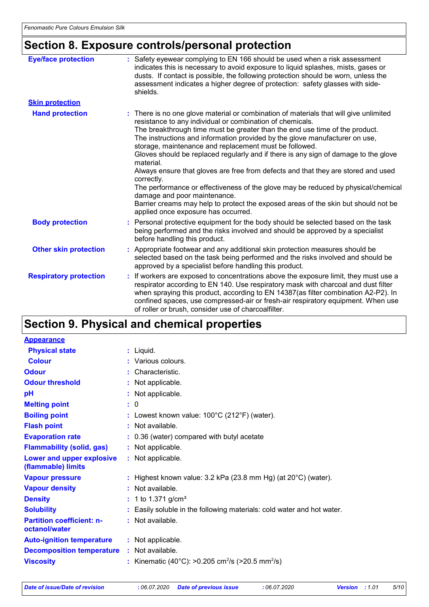# **Section 8. Exposure controls/personal protection**

| <b>Eye/face protection</b>    | : Safety eyewear complying to EN 166 should be used when a risk assessment<br>indicates this is necessary to avoid exposure to liquid splashes, mists, gases or<br>dusts. If contact is possible, the following protection should be worn, unless the<br>assessment indicates a higher degree of protection: safety glasses with side-<br>shields.                                                                                                                                                                                                                                                                                                                                                                                                                                                                                  |
|-------------------------------|-------------------------------------------------------------------------------------------------------------------------------------------------------------------------------------------------------------------------------------------------------------------------------------------------------------------------------------------------------------------------------------------------------------------------------------------------------------------------------------------------------------------------------------------------------------------------------------------------------------------------------------------------------------------------------------------------------------------------------------------------------------------------------------------------------------------------------------|
| <b>Skin protection</b>        |                                                                                                                                                                                                                                                                                                                                                                                                                                                                                                                                                                                                                                                                                                                                                                                                                                     |
| <b>Hand protection</b>        | : There is no one glove material or combination of materials that will give unlimited<br>resistance to any individual or combination of chemicals.<br>The breakthrough time must be greater than the end use time of the product.<br>The instructions and information provided by the glove manufacturer on use,<br>storage, maintenance and replacement must be followed.<br>Gloves should be replaced regularly and if there is any sign of damage to the glove<br>material.<br>Always ensure that gloves are free from defects and that they are stored and used<br>correctly.<br>The performance or effectiveness of the glove may be reduced by physical/chemical<br>damage and poor maintenance.<br>Barrier creams may help to protect the exposed areas of the skin but should not be<br>applied once exposure has occurred. |
| <b>Body protection</b>        | Personal protective equipment for the body should be selected based on the task<br>being performed and the risks involved and should be approved by a specialist<br>before handling this product.                                                                                                                                                                                                                                                                                                                                                                                                                                                                                                                                                                                                                                   |
| <b>Other skin protection</b>  | Appropriate footwear and any additional skin protection measures should be<br>selected based on the task being performed and the risks involved and should be<br>approved by a specialist before handling this product.                                                                                                                                                                                                                                                                                                                                                                                                                                                                                                                                                                                                             |
| <b>Respiratory protection</b> | If workers are exposed to concentrations above the exposure limit, they must use a<br>÷.<br>respirator according to EN 140. Use respiratory mask with charcoal and dust filter<br>when spraying this product, according to EN 14387(as filter combination A2-P2). In<br>confined spaces, use compressed-air or fresh-air respiratory equipment. When use<br>of roller or brush, consider use of charcoalfilter.                                                                                                                                                                                                                                                                                                                                                                                                                     |

## **Section 9. Physical and chemical properties**

| <b>Appearance</b>                                 |                                                                            |
|---------------------------------------------------|----------------------------------------------------------------------------|
| <b>Physical state</b>                             | $:$ Liquid.                                                                |
| <b>Colour</b>                                     | : Various colours.                                                         |
| <b>Odour</b>                                      | Characteristic.                                                            |
| <b>Odour threshold</b>                            | : Not applicable.                                                          |
| рH                                                | : Not applicable.                                                          |
| <b>Melting point</b>                              | : 0                                                                        |
| <b>Boiling point</b>                              | : Lowest known value: $100^{\circ}$ C (212 $^{\circ}$ F) (water).          |
| <b>Flash point</b>                                | : Not available.                                                           |
| <b>Evaporation rate</b>                           | : 0.36 (water) compared with butyl acetate                                 |
| <b>Flammability (solid, gas)</b>                  | : Not applicable.                                                          |
| Lower and upper explosive<br>(flammable) limits   | : Not applicable.                                                          |
| <b>Vapour pressure</b>                            | : Highest known value: $3.2$ kPa (23.8 mm Hg) (at $20^{\circ}$ C) (water). |
| <b>Vapour density</b>                             | : Not available.                                                           |
| <b>Density</b>                                    | : 1 to 1.371 g/cm <sup>3</sup>                                             |
| <b>Solubility</b>                                 | Easily soluble in the following materials: cold water and hot water.       |
| <b>Partition coefficient: n-</b><br>octanol/water | : Not available.                                                           |
| <b>Auto-ignition temperature</b>                  | : Not applicable.                                                          |
| <b>Decomposition temperature</b>                  | : Not available.                                                           |
| <b>Viscosity</b>                                  | : Kinematic (40°C): >0.205 cm <sup>2</sup> /s (>20.5 mm <sup>2</sup> /s)   |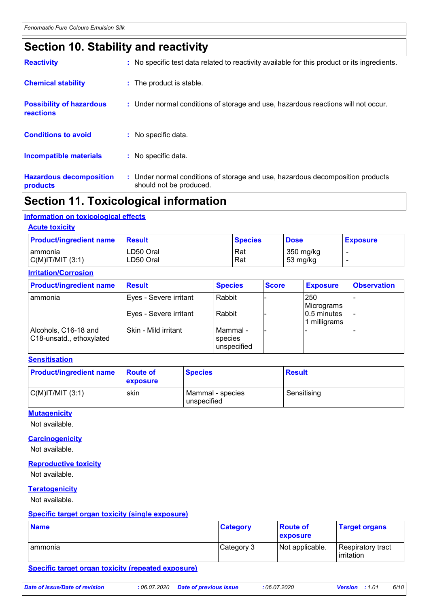### **Section 10. Stability and reactivity**

| <b>Hazardous decomposition</b><br>products   | : Under normal conditions of storage and use, hazardous decomposition products<br>should not be produced. |
|----------------------------------------------|-----------------------------------------------------------------------------------------------------------|
| Incompatible materials                       | : No specific data.                                                                                       |
| <b>Conditions to avoid</b>                   | $:$ No specific data.                                                                                     |
| <b>Possibility of hazardous</b><br>reactions | : Under normal conditions of storage and use, hazardous reactions will not occur.                         |
| <b>Chemical stability</b>                    | : The product is stable.                                                                                  |
| <b>Reactivity</b>                            | : No specific test data related to reactivity available for this product or its ingredients.              |

### **Section 11. Toxicological information**

#### **Information on toxicological effects**

#### **Acute toxicity**

| <b>Product/ingredient name</b> | Result    | <b>Species</b> | <b>Dose</b> | <b>Exposure</b> |
|--------------------------------|-----------|----------------|-------------|-----------------|
| I ammonia                      | LD50 Oral | Rat            | 350 mg/kg   |                 |
| $C(M)$ IT/MIT $(3:1)$          | LD50 Oral | Rat            | 53 mg/kg    |                 |

#### **Irritation/Corrosion**

| <b>Product/ingredient name</b>                   | <b>Result</b>          | <b>Species</b>                         | <b>Score</b> | <b>Exposure</b>                | <b>Observation</b> |
|--------------------------------------------------|------------------------|----------------------------------------|--------------|--------------------------------|--------------------|
| <b>ammonia</b>                                   | Eyes - Severe irritant | Rabbit                                 |              | 250<br>Micrograms              |                    |
|                                                  | Eyes - Severe irritant | Rabbit                                 |              | $ 0.5$ minutes<br>1 milligrams |                    |
| Alcohols, C16-18 and<br>C18-unsatd., ethoxylated | Skin - Mild irritant   | l Mammal -<br>  species<br>unspecified |              |                                |                    |

#### **Sensitisation**

| <b>Product/ingredient name</b> | ∣Route of<br>exposure | <b>Species</b>                  | <b>Result</b> |
|--------------------------------|-----------------------|---------------------------------|---------------|
| $C(M)$ IT/MIT $(3:1)$          | skin                  | Mammal - species<br>unspecified | Sensitising   |

#### **Mutagenicity**

Not available.

#### **Carcinogenicity**

Not available.

#### **Reproductive toxicity**

Not available.

#### **Teratogenicity**

Not available.

#### **Specific target organ toxicity (single exposure)**

| <b>Name</b> | <b>Category</b> | <b>Route of</b><br>exposure | <b>Target organs</b>            |
|-------------|-----------------|-----------------------------|---------------------------------|
| Tammonia    | Category 3      | Not applicable.             | Respiratory tract<br>irritation |

#### **Specific target organ toxicity (repeated exposure)**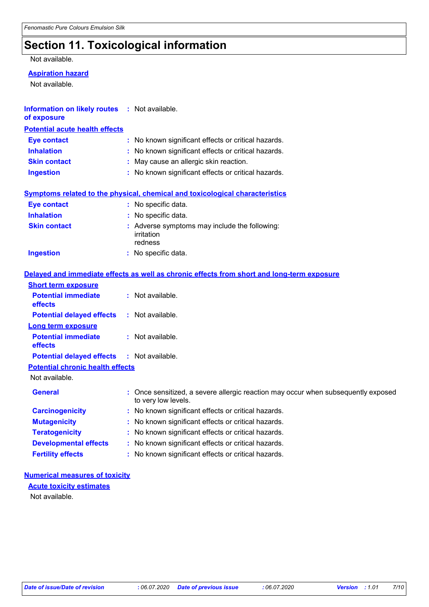# **Section 11. Toxicological information**

#### Not available.

#### **Aspiration hazard**

Not available.

| <b>Information on likely routes : Not available.</b><br>of exposure |                                                                                            |  |  |
|---------------------------------------------------------------------|--------------------------------------------------------------------------------------------|--|--|
| <b>Potential acute health effects</b>                               |                                                                                            |  |  |
| <b>Eye contact</b>                                                  | : No known significant effects or critical hazards.                                        |  |  |
| <b>Inhalation</b>                                                   | No known significant effects or critical hazards.                                          |  |  |
| <b>Skin contact</b>                                                 | May cause an allergic skin reaction.                                                       |  |  |
| <b>Ingestion</b>                                                    | : No known significant effects or critical hazards.                                        |  |  |
|                                                                     | <b>Symptoms related to the physical, chemical and toxicological characteristics</b>        |  |  |
| <b>Eye contact</b>                                                  | : No specific data.                                                                        |  |  |
| <b>Inhalation</b>                                                   | $:$ No specific data.                                                                      |  |  |
| <b>Skin contact</b>                                                 | Adverse symptoms may include the following:<br>irritation<br>redness                       |  |  |
| <b>Ingestion</b>                                                    | : No specific data.                                                                        |  |  |
|                                                                     | Delayed and immediate effects as well as chronic effects from short and long-term exposure |  |  |
| <b>Short term exposure</b>                                          |                                                                                            |  |  |
| <b>Potential immediate</b><br>effects                               | : Not available.                                                                           |  |  |
| <b>Potential delayed effects</b>                                    | : Not available.                                                                           |  |  |
| <b>Long term exposure</b>                                           |                                                                                            |  |  |
| <b>Potential immediate</b><br>effects                               | : Not available.                                                                           |  |  |
| <b>Potential delayed effects</b>                                    | : Not available.                                                                           |  |  |

**Potential chronic health effects**

Not available.

| <b>General</b>               | : Once sensitized, a severe allergic reaction may occur when subsequently exposed<br>to very low levels. |
|------------------------------|----------------------------------------------------------------------------------------------------------|
| <b>Carcinogenicity</b>       | : No known significant effects or critical hazards.                                                      |
| <b>Mutagenicity</b>          | : No known significant effects or critical hazards.                                                      |
| <b>Teratogenicity</b>        | : No known significant effects or critical hazards.                                                      |
| <b>Developmental effects</b> | : No known significant effects or critical hazards.                                                      |
| <b>Fertility effects</b>     | : No known significant effects or critical hazards.                                                      |

#### **Numerical measures of toxicity**

**Acute toxicity estimates**

Not available.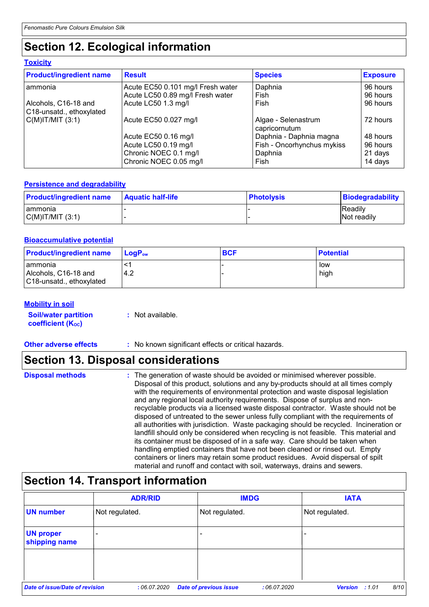# **Section 12. Ecological information**

#### **Toxicity**

| <b>Product/ingredient name</b>                   | <b>Result</b>                     | <b>Species</b>                       | <b>Exposure</b> |
|--------------------------------------------------|-----------------------------------|--------------------------------------|-----------------|
| l ammonia                                        | Acute EC50 0.101 mg/l Fresh water | Daphnia                              | 96 hours        |
|                                                  | Acute LC50 0.89 mg/l Fresh water  | Fish                                 | 96 hours        |
| Alcohols, C16-18 and<br>C18-unsatd., ethoxylated | Acute LC50 1.3 mg/l               | Fish                                 | 96 hours        |
| $C(M)$ IT/MIT $(3:1)$                            | Acute EC50 0.027 mg/l             | Algae - Selenastrum<br>capricornutum | 72 hours        |
|                                                  | Acute EC50 0.16 mg/l              | Daphnia - Daphnia magna              | 48 hours        |
|                                                  | Acute LC50 0.19 mg/l              | Fish - Oncorhynchus mykiss           | 96 hours        |
|                                                  | Chronic NOEC 0.1 mg/l             | Daphnia                              | 21 days         |
|                                                  | Chronic NOEC 0.05 mg/l            | Fish                                 | 14 days         |

#### **Persistence and degradability**

| <b>Product/ingredient name</b> | <b>Aquatic half-life</b> | <b>∣Photolysis</b> | <b>Biodegradability</b> |
|--------------------------------|--------------------------|--------------------|-------------------------|
| Tammonia                       |                          |                    | <b>Readily</b>          |
| C(M) T/MIT (3:1)               |                          |                    | <b>Not readily</b>      |

#### **Bioaccumulative potential**

| <b>Product/ingredient name</b>                                | $\mathsf{LogP}_\mathsf{ow}$ | <b>BCF</b> | <b>Potential</b> |
|---------------------------------------------------------------|-----------------------------|------------|------------------|
| I ammonia<br>Alcohols, C16-18 and<br>C18-unsatd., ethoxylated | 4.2                         |            | low<br>high      |

#### **Mobility in soil**

| <b>Soil/water partition</b> | : Not available. |
|-----------------------------|------------------|
| <b>coefficient (Koc)</b>    |                  |

**Other adverse effects** : No known significant effects or critical hazards.

### **Section 13. Disposal considerations**

### **Section 14. Transport information**

|                                   | <b>ADR/RID</b> |                               | <b>IMDG</b> | <b>IATA</b>                   |
|-----------------------------------|----------------|-------------------------------|-------------|-------------------------------|
| <b>UN number</b>                  | Not regulated. | Not regulated.                |             | Not regulated.                |
| <b>UN proper</b><br>shipping name | -              |                               |             |                               |
|                                   |                |                               |             |                               |
| Date of issue/Date of revision    | :06.07.2020    | <b>Date of previous issue</b> | :06.07.2020 | 8/10<br><b>Version</b> : 1.01 |

**Disposal methods :**

The generation of waste should be avoided or minimised wherever possible. Disposal of this product, solutions and any by-products should at all times comply with the requirements of environmental protection and waste disposal legislation and any regional local authority requirements. Dispose of surplus and nonrecyclable products via a licensed waste disposal contractor. Waste should not be disposed of untreated to the sewer unless fully compliant with the requirements of all authorities with jurisdiction. Waste packaging should be recycled. Incineration or landfill should only be considered when recycling is not feasible. This material and its container must be disposed of in a safe way. Care should be taken when handling emptied containers that have not been cleaned or rinsed out. Empty containers or liners may retain some product residues. Avoid dispersal of spilt material and runoff and contact with soil, waterways, drains and sewers.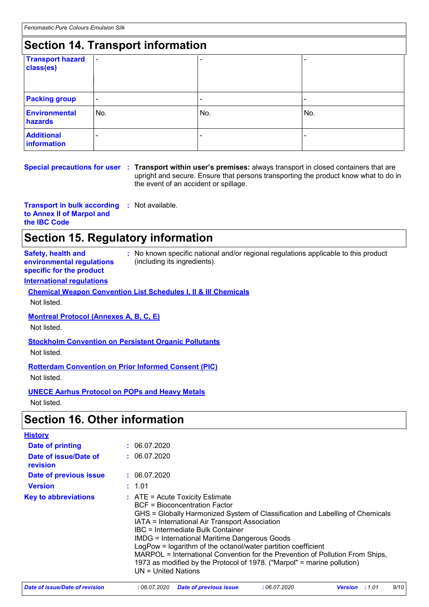## **Section 14. Transport information**

| <b>Transport hazard</b><br>class(es) | $\blacksquare$ |     |                          |  |  |  |  |
|--------------------------------------|----------------|-----|--------------------------|--|--|--|--|
| <b>Packing group</b>                 | $\sim$         | -   | $\overline{\phantom{0}}$ |  |  |  |  |
| <b>Environmental</b><br>hazards      | No.            | No. | No.                      |  |  |  |  |
| <b>Additional</b><br>information     |                |     |                          |  |  |  |  |

#### **Special precautions for user Transport within user's premises:** always transport in closed containers that are **:** upright and secure. Ensure that persons transporting the product know what to do in the event of an accident or spillage.

**Transport in bulk according :** Not available. **to Annex II of Marpol and the IBC Code**

## **Section 15. Regulatory information**

**Safety, health and environmental regulations specific for the product**

**:** No known specific national and/or regional regulations applicable to this product (including its ingredients).

#### **International regulations**

**Chemical Weapon Convention List Schedules I, II & III Chemicals** Not listed.

**Montreal Protocol (Annexes A, B, C, E)**

Not listed.

**Stockholm Convention on Persistent Organic Pollutants**

Not listed.

**Rotterdam Convention on Prior Informed Consent (PIC)**

Not listed.

**UNECE Aarhus Protocol on POPs and Heavy Metals**

Not listed.

### **Section 16. Other information**

| <b>History</b>                    |                                                                                                                                                                                                                                                                                                                                                                                                                                                                                                                                                                 |
|-----------------------------------|-----------------------------------------------------------------------------------------------------------------------------------------------------------------------------------------------------------------------------------------------------------------------------------------------------------------------------------------------------------------------------------------------------------------------------------------------------------------------------------------------------------------------------------------------------------------|
| Date of printing                  | : 06.07.2020                                                                                                                                                                                                                                                                                                                                                                                                                                                                                                                                                    |
| Date of issue/Date of<br>revision | : 06.07.2020                                                                                                                                                                                                                                                                                                                                                                                                                                                                                                                                                    |
| Date of previous issue            | : 06.07.2020                                                                                                                                                                                                                                                                                                                                                                                                                                                                                                                                                    |
| <b>Version</b>                    | : 1.01                                                                                                                                                                                                                                                                                                                                                                                                                                                                                                                                                          |
| <b>Key to abbreviations</b>       | $\therefore$ ATE = Acute Toxicity Estimate<br>BCF = Bioconcentration Factor<br>GHS = Globally Harmonized System of Classification and Labelling of Chemicals<br>IATA = International Air Transport Association<br>IBC = Intermediate Bulk Container<br><b>IMDG</b> = International Maritime Dangerous Goods<br>LogPow = logarithm of the octanol/water partition coefficient<br>MARPOL = International Convention for the Prevention of Pollution From Ships,<br>1973 as modified by the Protocol of 1978. ("Marpol" = marine pollution)<br>UN = United Nations |

| Date of issue/Date of revision |  | 06.07.2020 | <b>Version</b> : 1.01 | 9/10 |
|--------------------------------|--|------------|-----------------------|------|
|                                |  |            |                       |      |